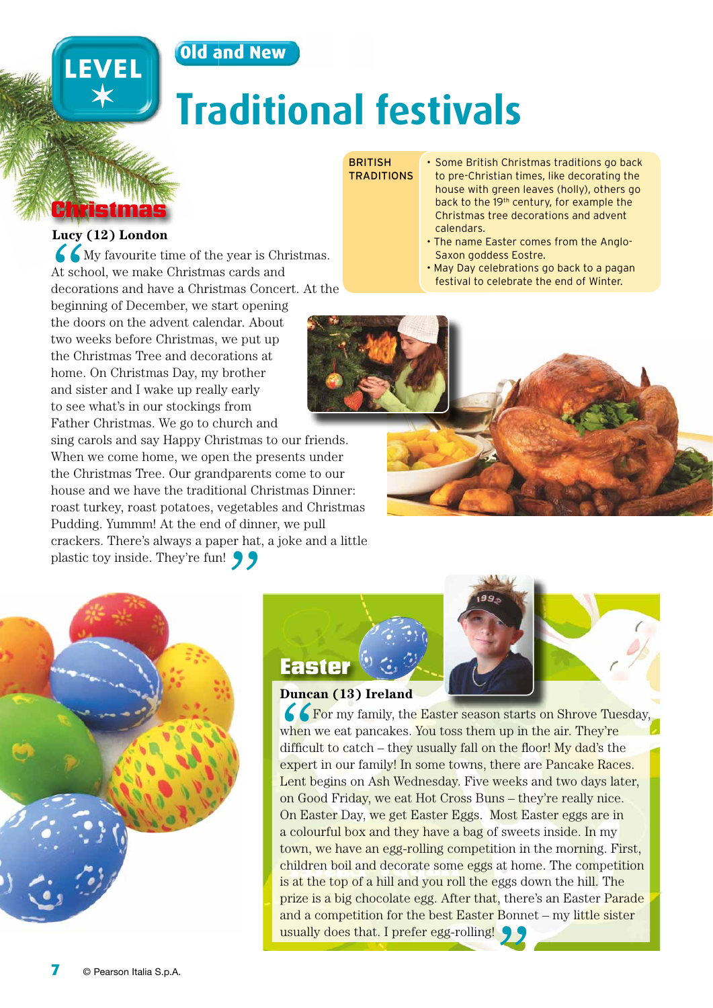#### **Old and New**

# **Traditional festivals**

#### **BRITISH TRADITIONS**

- Some British Christmas traditions go back to pre-Christian times, like decorating the house with green leaves (holly), others go back to the 19<sup>th</sup> century, for example the Christmas tree decorations and advent calendars.
- The name Easter comes from the Anglo-Saxon goddess Eostre.
- May Day celebrations go back to a pagan festival to celebrate the end of Winter.



the Christmas Tree and decorations at home. On Christmas Day, my brother and sister and I wake up really early to see what's in our stockings from Father Christmas. We go to church and sing carols and say Happy Christmas to our friends. When we come home, we open the presents under the Christmas Tree. Our grandparents come to our

K My favourite time of the year is Christmas.

decorations and have a Christmas Concert. At the

At school, we make Christmas cards and

beginning of December, we start opening the doors on the advent calendar. About two weeks before Christmas, we put up

house and we have the traditional Christmas Dinner: roast turkey, roast potatoes, vegetables and Christmas Pudding. Yummm! At the end of dinner, we pull crackers. There's always a paper hat, a joke and a little plastic toy inside. They're fun!*"*



Easter

#### **Duncan (13) Ireland**

**For my family, the Easter season starts on Shrove Tuesday,** when we eat pancakes. You toss them up in the air. They're difficult to catch – they usually fall on the floor! My dad's the expert in our family! In some towns, there are Pancake Races. Lent begins on Ash Wednesday. Five weeks and two days later, on Good Friday, we eat Hot Cross Buns – they're really nice. On Easter Day, we get Easter Eggs. Most Easter eggs are in a colourful box and they have a bag of sweets inside. In my town, we have an egg-rolling competition in the morning. First, children boil and decorate some eggs at home. The competition is at the top of a hill and you roll the eggs down the hill. The prize is a big chocolate egg. After that, there's an Easter Parade and a competition for the best Easter Bonnet – my little sister usually does that. I prefer egg-rolling!*"*







**Lucy (12) London**

Christmas